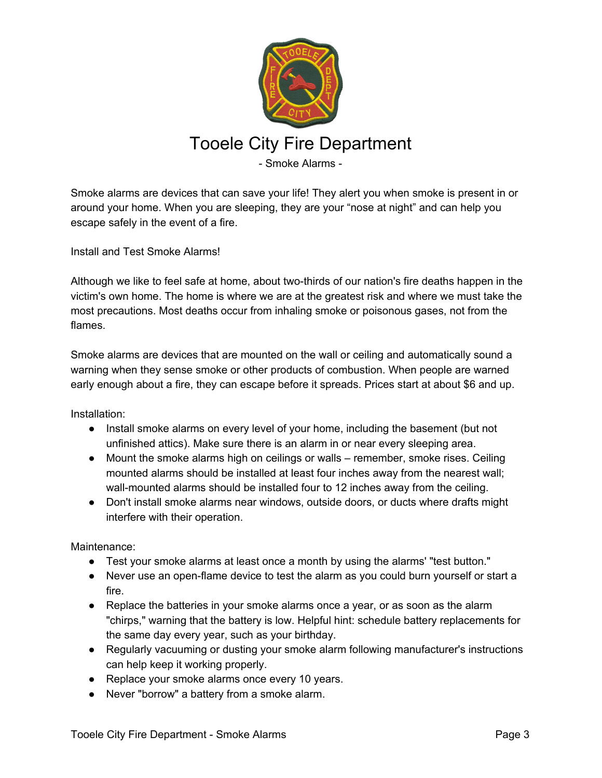

## Tooele City Fire Department

- Smoke Alarms -

Smoke alarms are devices that can save your life! They alert you when smoke is present in or around your home. When you are sleeping, they are your "nose at night" and can help you escape safely in the event of a fire.

Install and Test Smoke Alarms!

Although we like to feel safe at home, about two-thirds of our nation's fire deaths happen in the victim's own home. The home is where we are at the greatest risk and where we must take the most precautions. Most deaths occur from inhaling smoke or poisonous gases, not from the flames.

Smoke alarms are devices that are mounted on the wall or ceiling and automatically sound a warning when they sense smoke or other products of combustion. When people are warned early enough about a fire, they can escape before it spreads. Prices start at about \$6 and up.

Installation:

- Install smoke alarms on every level of your home, including the basement (but not unfinished attics). Make sure there is an alarm in or near every sleeping area.
- Mount the smoke alarms high on ceilings or walls remember, smoke rises. Ceiling mounted alarms should be installed at least four inches away from the nearest wall; wall-mounted alarms should be installed four to 12 inches away from the ceiling.
- Don't install smoke alarms near windows, outside doors, or ducts where drafts might interfere with their operation.

Maintenance:

- Test your smoke alarms at least once a month by using the alarms' "test button."
- Never use an open-flame device to test the alarm as you could burn yourself or start a fire.
- Replace the batteries in your smoke alarms once a year, or as soon as the alarm "chirps," warning that the battery is low. Helpful hint: schedule battery replacements for the same day every year, such as your birthday.
- Regularly vacuuming or dusting your smoke alarm following manufacturer's instructions can help keep it working properly.
- Replace your smoke alarms once every 10 years.
- Never "borrow" a battery from a smoke alarm.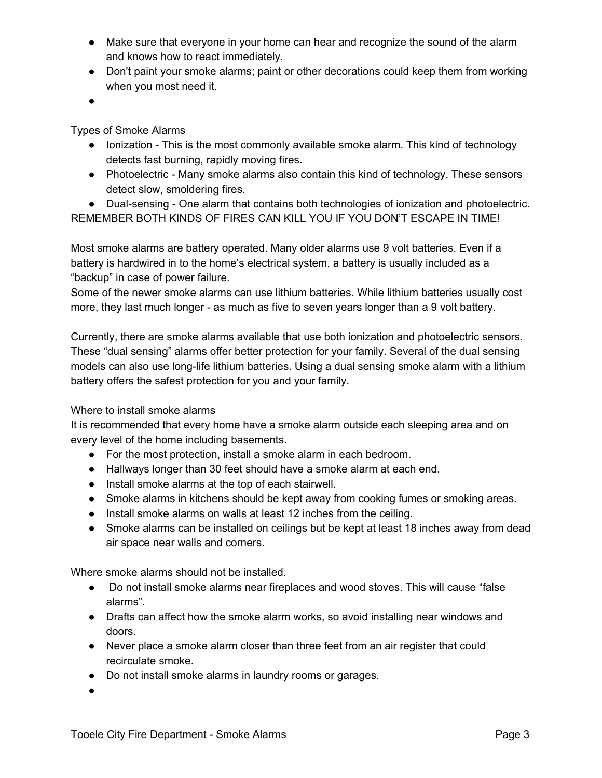- Make sure that everyone in your home can hear and recognize the sound of the alarm and knows how to react immediately.
- Don't paint your smoke alarms; paint or other decorations could keep them from working when you most need it.
- ●

Types of Smoke Alarms

- Ionization This is the most commonly available smoke alarm. This kind of technology detects fast burning, rapidly moving fires.
- Photoelectric Many smoke alarms also contain this kind of technology. These sensors detect slow, smoldering fires.
- Dual-sensing One alarm that contains both technologies of ionization and photoelectric.

REMEMBER BOTH KINDS OF FIRES CAN KILL YOU IF YOU DON'T ESCAPE IN TIME!

Most smoke alarms are battery operated. Many older alarms use 9 volt batteries. Even if a battery is hardwired in to the home's electrical system, a battery is usually included as a "backup" in case of power failure.

Some of the newer smoke alarms can use lithium batteries. While lithium batteries usually cost more, they last much longer - as much as five to seven years longer than a 9 volt battery.

Currently, there are smoke alarms available that use both ionization and photoelectric sensors. These "dual sensing" alarms offer better protection for your family. Several of the dual sensing models can also use long-life lithium batteries. Using a dual sensing smoke alarm with a lithium battery offers the safest protection for you and your family.

## Where to install smoke alarms

It is recommended that every home have a smoke alarm outside each sleeping area and on every level of the home including basements.

- For the most protection, install a smoke alarm in each bedroom.
- Hallways longer than 30 feet should have a smoke alarm at each end.
- Install smoke alarms at the top of each stairwell.
- Smoke alarms in kitchens should be kept away from cooking fumes or smoking areas.
- Install smoke alarms on walls at least 12 inches from the ceiling.
- Smoke alarms can be installed on ceilings but be kept at least 18 inches away from dead air space near walls and corners.

Where smoke alarms should not be installed.

- Do not install smoke alarms near fireplaces and wood stoves. This will cause "false alarms".
- Drafts can affect how the smoke alarm works, so avoid installing near windows and doors.
- Never place a smoke alarm closer than three feet from an air register that could recirculate smoke.
- Do not install smoke alarms in laundry rooms or garages.

●